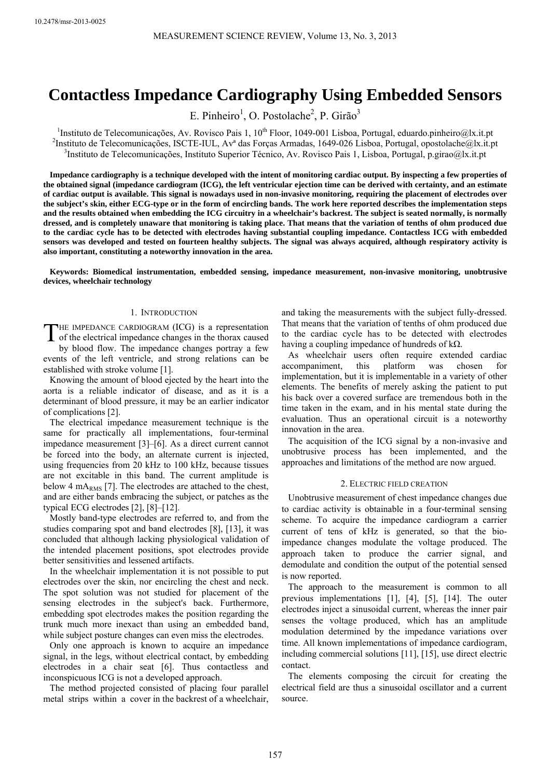# **Contactless Impedance Cardiography Using Embedded Sensors**

E. Pinheiro<sup>1</sup>, O. Postolache<sup>2</sup>, P. Girão<sup>3</sup>

<sup>1</sup>Instituto de Telecomunicações, Av. Rovisco Pais 1, 10<sup>th</sup> Floor, 1049-001 Lisboa, Portugal, eduardo.pinheiro@lx.it.pt <sup>2</sup>Instituto de Telecomunicações, ISCTE III. Ax<sup>a</sup> des Foreas Armedes 1640,026 Lisboa, Portugal, ope <sup>2</sup>Instituto de Telecomunicações, ISCTE-IUL, Av<sup>a</sup> das Forças Armadas, 1649-026 Lisboa, Portugal, opostolache@lx.it.pt Instituto de Telecomunicações, Instituto Superior Técnico, Av. Rovisco Pais 1, Lisboa, Portugal, p.girao@lx.it.pt

**Impedance cardiography is a technique developed with the intent of monitoring cardiac output. By inspecting a few properties of the obtained signal (impedance cardiogram (ICG), the left ventricular ejection time can be derived with certainty, and an estimate of cardiac output is available. This signal is nowadays used in non-invasive monitoring, requiring the placement of electrodes over the subject's skin, either ECG-type or in the form of encircling bands. The work here reported describes the implementation steps and the results obtained when embedding the ICG circuitry in a wheelchair's backrest. The subject is seated normally, is normally dressed, and is completely unaware that monitoring is taking place. That means that the variation of tenths of ohm produced due to the cardiac cycle has to be detected with electrodes having substantial coupling impedance. Contactless ICG with embedded sensors was developed and tested on fourteen healthy subjects. The signal was always acquired, although respiratory activity is also important, constituting a noteworthy innovation in the area.** 

**Keywords: Biomedical instrumentation, embedded sensing, impedance measurement, non-invasive monitoring, unobtrusive devices, wheelchair technology** 

## 1. INTRODUCTION

HE IMPEDANCE CARDIOGRAM (ICG) is a representation THE IMPEDANCE CARDIOGRAM (ICG) is a representation of the electrical impedance changes in the thorax caused

by blood flow. The impedance changes portray a few events of the left ventricle, and strong relations can be established with stroke volume [1].

Knowing the amount of blood ejected by the heart into the aorta is a reliable indicator of disease, and as it is a determinant of blood pressure, it may be an earlier indicator of complications [2].

The electrical impedance measurement technique is the same for practically all implementations, four-terminal impedance measurement [3]–[6]. As a direct current cannot be forced into the body, an alternate current is injected, using frequencies from 20 kHz to 100 kHz, because tissues are not excitable in this band. The current amplitude is below 4 m $A_{RMS}$  [7]. The electrodes are attached to the chest, and are either bands embracing the subject, or patches as the typical ECG electrodes [2], [8]–[12].

Mostly band-type electrodes are referred to, and from the studies comparing spot and band electrodes [8], [13], it was concluded that although lacking physiological validation of the intended placement positions, spot electrodes provide better sensitivities and lessened artifacts.

In the wheelchair implementation it is not possible to put electrodes over the skin, nor encircling the chest and neck. The spot solution was not studied for placement of the sensing electrodes in the subject's back. Furthermore, embedding spot electrodes makes the position regarding the trunk much more inexact than using an embedded band, while subject posture changes can even miss the electrodes.

Only one approach is known to acquire an impedance signal, in the legs, without electrical contact, by embedding electrodes in a chair seat [6]. Thus contactless and inconspicuous ICG is not a developed approach.

The method projected consisted of placing four parallel metal strips within a cover in the backrest of a wheelchair, and taking the measurements with the subject fully-dressed. That means that the variation of tenths of ohm produced due to the cardiac cycle has to be detected with electrodes having a coupling impedance of hundreds of kΩ.

As wheelchair users often require extended cardiac accompaniment, this platform was chosen for implementation, but it is implementable in a variety of other elements. The benefits of merely asking the patient to put his back over a covered surface are tremendous both in the time taken in the exam, and in his mental state during the evaluation. Thus an operational circuit is a noteworthy innovation in the area.

The acquisition of the ICG signal by a non-invasive and unobtrusive process has been implemented, and the approaches and limitations of the method are now argued.

## 2. ELECTRIC FIELD CREATION

Unobtrusive measurement of chest impedance changes due to cardiac activity is obtainable in a four-terminal sensing scheme. To acquire the impedance cardiogram a carrier current of tens of kHz is generated, so that the bioimpedance changes modulate the voltage produced. The approach taken to produce the carrier signal, and demodulate and condition the output of the potential sensed is now reported.

The approach to the measurement is common to all previous implementations [1], [4], [5], [14]. The outer electrodes inject a sinusoidal current, whereas the inner pair senses the voltage produced, which has an amplitude modulation determined by the impedance variations over time. All known implementations of impedance cardiogram, including commercial solutions [11], [15], use direct electric contact.

The elements composing the circuit for creating the electrical field are thus a sinusoidal oscillator and a current source.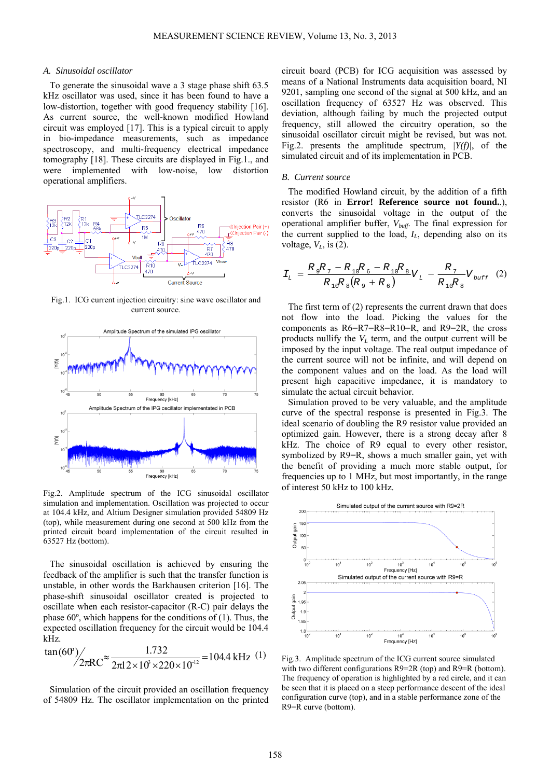#### *A. Sinusoidal oscillator*

To generate the sinusoidal wave a 3 stage phase shift 63.5 kHz oscillator was used, since it has been found to have a low-distortion, together with good frequency stability [16]. As current source, the well-known modified Howland circuit was employed [17]. This is a typical circuit to apply in bio-impedance measurements, such as impedance spectroscopy, and multi-frequency electrical impedance tomography [18]. These circuits are displayed in Fig.1., and were implemented with low-noise, low distortion operational amplifiers.



Fig.1. ICG current injection circuitry: sine wave oscillator and current source.



Fig.2. Amplitude spectrum of the ICG sinusoidal oscillator simulation and implementation. Oscillation was projected to occur at 104.4 kHz, and Altium Designer simulation provided 54809 Hz (top), while measurement during one second at 500 kHz from the printed circuit board implementation of the circuit resulted in 63527 Hz (bottom).

The sinusoidal oscillation is achieved by ensuring the feedback of the amplifier is such that the transfer function is unstable, in other words the Barkhausen criterion [16]. The phase-shift sinusoidal oscillator created is projected to oscillate when each resistor-capacitor (R-C) pair delays the phase 60º, which happens for the conditions of (1). Thus, the expected oscillation frequency for the circuit would be 104.4 kHz.

$$
\tan(60^\circ) / \frac{1.732}{2\pi R C^{\infty} \cdot \frac{1.732}{2\pi 12 \times 10^3 \times 220 \times 10^{-12}}} = 104.4 \text{ kHz} \quad (1)
$$

Simulation of the circuit provided an oscillation frequency of 54809 Hz. The oscillator implementation on the printed circuit board (PCB) for ICG acquisition was assessed by means of a National Instruments data acquisition board, NI 9201, sampling one second of the signal at 500 kHz, and an oscillation frequency of 63527 Hz was observed. This deviation, although failing by much the projected output frequency, still allowed the circuitry operation, so the sinusoidal oscillator circuit might be revised, but was not. Fig.2. presents the amplitude spectrum, *|Y(f)|*, of the simulated circuit and of its implementation in PCB.

## *B. Current source*

The modified Howland circuit, by the addition of a fifth resistor (R6 in **Error! Reference source not found.**.), converts the sinusoidal voltage in the output of the operational amplifier buffer, *Vbuff*. The final expression for the current supplied to the load, *IL*, depending also on its voltage,  $V_L$ , is (2).

$$
I_{L} = \frac{R_{9}R_{7} - R_{10}R_{6} - R_{10}R_{8}}{R_{10}R_{8}(R_{9} + R_{6})}V_{L} - \frac{R_{7}}{R_{10}R_{8}}V_{buffer} \quad (2)
$$

The first term of (2) represents the current drawn that does not flow into the load. Picking the values for the components as R6=R7=R8=R10=R, and R9=2R, the cross products nullify the  $V_L$  term, and the output current will be imposed by the input voltage. The real output impedance of the current source will not be infinite, and will depend on the component values and on the load. As the load will present high capacitive impedance, it is mandatory to simulate the actual circuit behavior.

Simulation proved to be very valuable, and the amplitude curve of the spectral response is presented in Fig.3. The ideal scenario of doubling the R9 resistor value provided an optimized gain. However, there is a strong decay after 8 kHz. The choice of R9 equal to every other resistor, symbolized by R9=R, shows a much smaller gain, yet with the benefit of providing a much more stable output, for frequencies up to 1 MHz, but most importantly, in the range of interest 50 kHz to 100 kHz.



Fig.3. Amplitude spectrum of the ICG current source simulated with two different configurations R9=2R (top) and R9=R (bottom). The frequency of operation is highlighted by a red circle, and it can be seen that it is placed on a steep performance descent of the ideal configuration curve (top), and in a stable performance zone of the R9=R curve (bottom).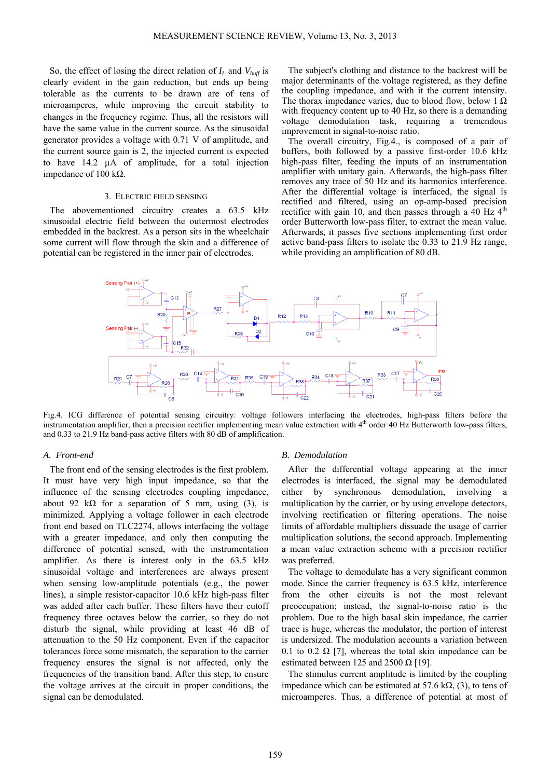So, the effect of losing the direct relation of  $I_L$  and  $V_{\text{buffer}}$  is clearly evident in the gain reduction, but ends up being tolerable as the currents to be drawn are of tens of microamperes, while improving the circuit stability to changes in the frequency regime. Thus, all the resistors will have the same value in the current source. As the sinusoidal generator provides a voltage with 0.71 V of amplitude, and the current source gain is 2, the injected current is expected to have 14.2 µA of amplitude, for a total injection impedance of 100 kΩ.

## 3. ELECTRIC FIELD SENSING

The abovementioned circuitry creates a 63.5 kHz sinusoidal electric field between the outermost electrodes embedded in the backrest. As a person sits in the wheelchair some current will flow through the skin and a difference of potential can be registered in the inner pair of electrodes.

The subject's clothing and distance to the backrest will be major determinants of the voltage registered, as they define the coupling impedance, and with it the current intensity. The thorax impedance varies, due to blood flow, below 1  $\Omega$ with frequency content up to 40 Hz, so there is a demanding voltage demodulation task, requiring a tremendous improvement in signal-to-noise ratio.

The overall circuitry, Fig.4., is composed of a pair of buffers, both followed by a passive first-order 10.6 kHz high-pass filter, feeding the inputs of an instrumentation amplifier with unitary gain. Afterwards, the high-pass filter removes any trace of 50 Hz and its harmonics interference. After the differential voltage is interfaced, the signal is rectified and filtered, using an op-amp-based precision rectifier with gain 10, and then passes through a  $40$  Hz  $4<sup>th</sup>$ order Butterworth low-pass filter, to extract the mean value. Afterwards, it passes five sections implementing first order active band-pass filters to isolate the 0.33 to 21.9 Hz range, while providing an amplification of 80 dB.



Fig.4. ICG difference of potential sensing circuitry: voltage followers interfacing the electrodes, high-pass filters before the instrumentation amplifier, then a precision rectifier implementing mean value extraction with  $4<sup>th</sup>$  order 40 Hz Butterworth low-pass filters, and 0.33 to 21.9 Hz band-pass active filters with 80 dB of amplification.

#### *A. Front-end*

The front end of the sensing electrodes is the first problem. It must have very high input impedance, so that the influence of the sensing electrodes coupling impedance, about 92 k $\Omega$  for a separation of 5 mm, using (3), is minimized. Applying a voltage follower in each electrode front end based on TLC2274, allows interfacing the voltage with a greater impedance, and only then computing the difference of potential sensed, with the instrumentation amplifier. As there is interest only in the 63.5 kHz sinusoidal voltage and interferences are always present when sensing low-amplitude potentials (e.g., the power lines), a simple resistor-capacitor 10.6 kHz high-pass filter was added after each buffer. These filters have their cutoff frequency three octaves below the carrier, so they do not disturb the signal, while providing at least 46 dB of attenuation to the 50 Hz component. Even if the capacitor tolerances force some mismatch, the separation to the carrier frequency ensures the signal is not affected, only the frequencies of the transition band. After this step, to ensure the voltage arrives at the circuit in proper conditions, the signal can be demodulated.

## *B. Demodulation*

After the differential voltage appearing at the inner electrodes is interfaced, the signal may be demodulated either by synchronous demodulation, involving a multiplication by the carrier, or by using envelope detectors, involving rectification or filtering operations. The noise limits of affordable multipliers dissuade the usage of carrier multiplication solutions, the second approach. Implementing a mean value extraction scheme with a precision rectifier was preferred.

The voltage to demodulate has a very significant common mode. Since the carrier frequency is 63.5 kHz, interference from the other circuits is not the most relevant preoccupation; instead, the signal-to-noise ratio is the problem. Due to the high basal skin impedance, the carrier trace is huge, whereas the modulator, the portion of interest is undersized. The modulation accounts a variation between 0.1 to 0.2  $\Omega$  [7], whereas the total skin impedance can be estimated between 125 and 2500  $\Omega$  [19].

The stimulus current amplitude is limited by the coupling impedance which can be estimated at 57.6 kΩ, (3), to tens of microamperes. Thus, a difference of potential at most of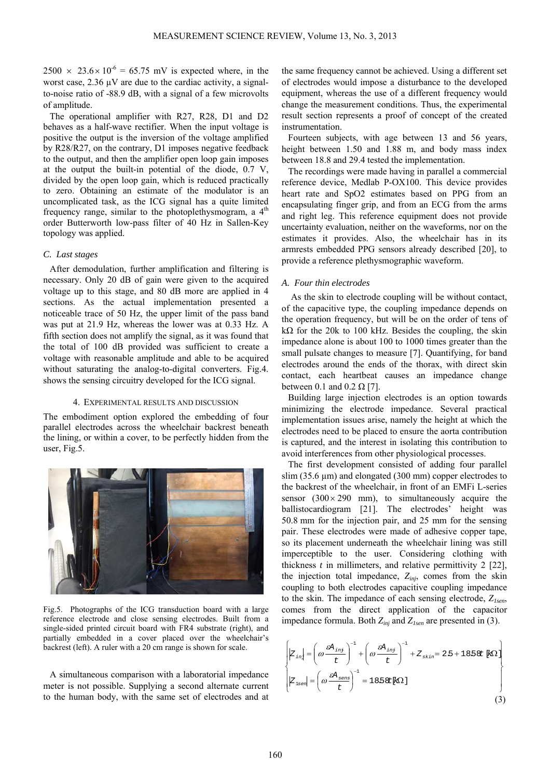$2500 \times 23.6 \times 10^{-6} = 65.75$  mV is expected where, in the worst case,  $2.36 \mu V$  are due to the cardiac activity, a signalto-noise ratio of -88.9 dB, with a signal of a few microvolts of amplitude.

The operational amplifier with R27, R28, D1 and D2 behaves as a half-wave rectifier. When the input voltage is positive the output is the inversion of the voltage amplified by R28/R27, on the contrary, D1 imposes negative feedback to the output, and then the amplifier open loop gain imposes at the output the built-in potential of the diode, 0.7 V, divided by the open loop gain, which is reduced practically to zero. Obtaining an estimate of the modulator is an uncomplicated task, as the ICG signal has a quite limited frequency range, similar to the photoplethysmogram, a  $4<sup>th</sup>$ order Butterworth low-pass filter of 40 Hz in Sallen-Key topology was applied.

## *C. Last stages*

After demodulation, further amplification and filtering is necessary. Only 20 dB of gain were given to the acquired voltage up to this stage, and 80 dB more are applied in 4 sections. As the actual implementation presented a noticeable trace of 50 Hz, the upper limit of the pass band was put at 21.9 Hz, whereas the lower was at 0.33 Hz. A fifth section does not amplify the signal, as it was found that the total of 100 dB provided was sufficient to create a voltage with reasonable amplitude and able to be acquired without saturating the analog-to-digital converters. Fig.4. shows the sensing circuitry developed for the ICG signal.

### 4. EXPERIMENTAL RESULTS AND DISCUSSION

The embodiment option explored the embedding of four parallel electrodes across the wheelchair backrest beneath the lining, or within a cover, to be perfectly hidden from the user, Fig.5.



Fig.5. Photographs of the ICG transduction board with a large reference electrode and close sensing electrodes. Built from a single-sided printed circuit board with FR4 substrate (right), and partially embedded in a cover placed over the wheelchair's backrest (left). A ruler with a 20 cm range is shown for scale.

A simultaneous comparison with a laboratorial impedance meter is not possible. Supplying a second alternate current to the human body, with the same set of electrodes and at

the same frequency cannot be achieved. Using a different set of electrodes would impose a disturbance to the developed equipment, whereas the use of a different frequency would change the measurement conditions. Thus, the experimental result section represents a proof of concept of the created instrumentation.

Fourteen subjects, with age between 13 and 56 years, height between 1.50 and 1.88 m, and body mass index between 18.8 and 29.4 tested the implementation.

The recordings were made having in parallel a commercial reference device, Medlab P-OX100. This device provides heart rate and SpO2 estimates based on PPG from an encapsulating finger grip, and from an ECG from the arms and right leg. This reference equipment does not provide uncertainty evaluation, neither on the waveforms, nor on the estimates it provides. Also, the wheelchair has in its armrests embedded PPG sensors already described [20], to provide a reference plethysmographic waveform.

## *A. Four thin electrodes*

As the skin to electrode coupling will be without contact, of the capacitive type, the coupling impedance depends on the operation frequency, but will be on the order of tens of k $\Omega$  for the 20k to 100 kHz. Besides the coupling, the skin impedance alone is about 100 to 1000 times greater than the small pulsate changes to measure [7]. Quantifying, for band electrodes around the ends of the thorax, with direct skin contact, each heartbeat causes an impedance change between 0.1 and 0.2  $\Omega$  [7].

Building large injection electrodes is an option towards minimizing the electrode impedance. Several practical implementation issues arise, namely the height at which the electrodes need to be placed to ensure the aorta contribution is captured, and the interest in isolating this contribution to avoid interferences from other physiological processes.

The first development consisted of adding four parallel slim (35.6  $\mu$ m) and elongated (300 mm) copper electrodes to the backrest of the wheelchair, in front of an EMFi L-series sensor  $(300 \times 290$  mm), to simultaneously acquire the ballistocardiogram [21]. The electrodes' height was 50.8 mm for the injection pair, and 25 mm for the sensing pair. These electrodes were made of adhesive copper tape, so its placement underneath the wheelchair lining was still imperceptible to the user. Considering clothing with thickness *t* in millimeters, and relative permittivity 2 [22], the injection total impedance, *Zinj*, comes from the skin coupling to both electrodes capacitive coupling impedance to the skin. The impedance of each sensing electrode, *Z1sen*, comes from the direct application of the capacitor impedance formula. Both *Zinj* and *Z1sen* are presented in (3).

$$
\begin{cases}\n\left|Z_{in}\right| = \left(\omega \frac{\varepsilon A_{inj}}{t}\right)^{-1} + \left(\omega \frac{\varepsilon A_{inj}}{t}\right)^{-1} + Z_{skin} = 2.5 + 18.5 \& \left[\kappa \Omega\right] \\
\left|Z_{isel}\right| = \left(\omega \frac{\varepsilon A_{sens}}{t}\right)^{-1} = 18.5 \& \left[\kappa \Omega\right]\n\end{cases}
$$
\n(3)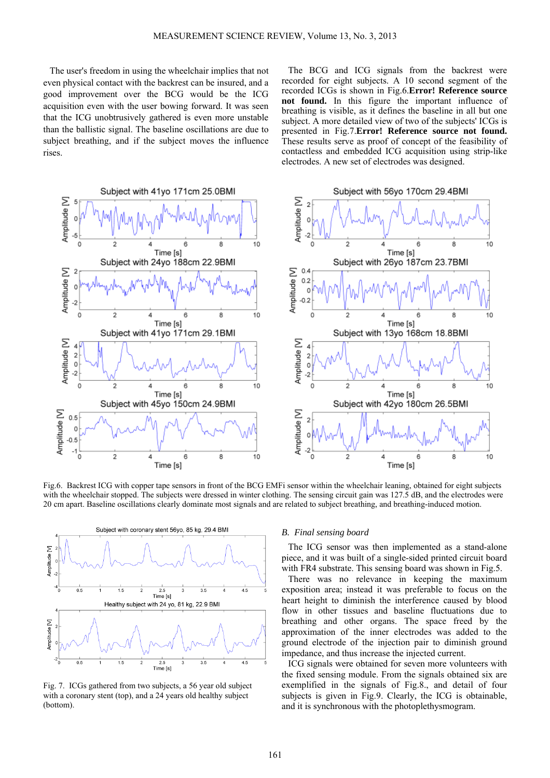The user's freedom in using the wheelchair implies that not even physical contact with the backrest can be insured, and a good improvement over the BCG would be the ICG acquisition even with the user bowing forward. It was seen that the ICG unobtrusively gathered is even more unstable than the ballistic signal. The baseline oscillations are due to subject breathing, and if the subject moves the influence rises.

The BCG and ICG signals from the backrest were recorded for eight subjects. A 10 second segment of the recorded ICGs is shown in Fig.6.**Error! Reference source not found.** In this figure the important influence of breathing is visible, as it defines the baseline in all but one subject. A more detailed view of two of the subjects' ICGs is presented in Fig.7.**Error! Reference source not found.** These results serve as proof of concept of the feasibility of contactless and embedded ICG acquisition using strip-like electrodes. A new set of electrodes was designed.



Fig.6. Backrest ICG with copper tape sensors in front of the BCG EMFi sensor within the wheelchair leaning, obtained for eight subjects with the wheelchair stopped. The subjects were dressed in winter clothing. The sensing circuit gain was 127.5 dB, and the electrodes were 20 cm apart. Baseline oscillations clearly dominate most signals and are related to subject breathing, and breathing-induced motion.



Fig. 7. ICGs gathered from two subjects, a 56 year old subject with a coronary stent (top), and a 24 years old healthy subject (bottom).

## *B. Final sensing board*

The ICG sensor was then implemented as a stand-alone piece, and it was built of a single-sided printed circuit board with FR4 substrate. This sensing board was shown in Fig.5.

There was no relevance in keeping the maximum exposition area; instead it was preferable to focus on the heart height to diminish the interference caused by blood flow in other tissues and baseline fluctuations due to breathing and other organs. The space freed by the approximation of the inner electrodes was added to the ground electrode of the injection pair to diminish ground impedance, and thus increase the injected current.

ICG signals were obtained for seven more volunteers with the fixed sensing module. From the signals obtained six are exemplified in the signals of Fig.8., and detail of four subjects is given in Fig.9. Clearly, the ICG is obtainable, and it is synchronous with the photoplethysmogram.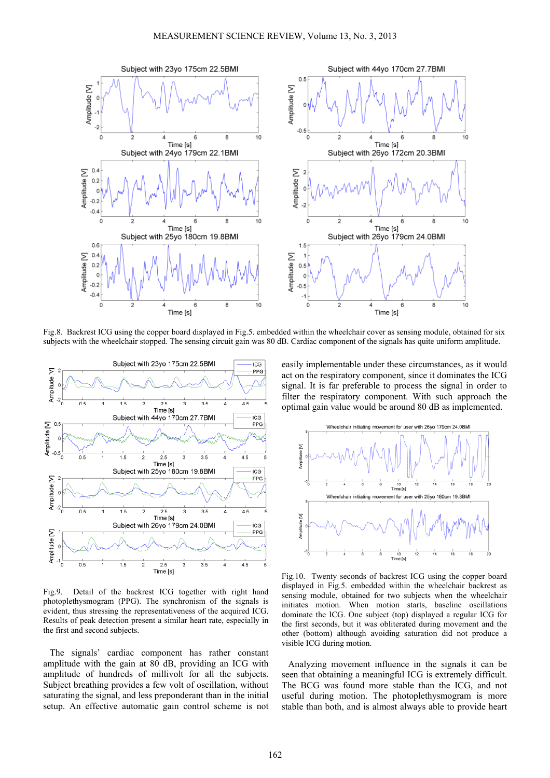

Fig.8. Backrest ICG using the copper board displayed in Fig.5. embedded within the wheelchair cover as sensing module, obtained for six subjects with the wheelchair stopped. The sensing circuit gain was 80 dB. Cardiac component of the signals has quite uniform amplitude.



Fig.9. Detail of the backrest ICG together with right hand photoplethysmogram (PPG). The synchronism of the signals is evident, thus stressing the representativeness of the acquired ICG. Results of peak detection present a similar heart rate, especially in the first and second subjects.

The signals' cardiac component has rather constant amplitude with the gain at 80 dB, providing an ICG with amplitude of hundreds of millivolt for all the subjects. Subject breathing provides a few volt of oscillation, without saturating the signal, and less preponderant than in the initial setup. An effective automatic gain control scheme is not easily implementable under these circumstances, as it would act on the respiratory component, since it dominates the ICG signal. It is far preferable to process the signal in order to filter the respiratory component. With such approach the optimal gain value would be around 80 dB as implemented.



Fig.10. Twenty seconds of backrest ICG using the copper board displayed in Fig.5. embedded within the wheelchair backrest as sensing module, obtained for two subjects when the wheelchair initiates motion. When motion starts, baseline oscillations dominate the ICG. One subject (top) displayed a regular ICG for the first seconds, but it was obliterated during movement and the other (bottom) although avoiding saturation did not produce a visible ICG during motion.

Analyzing movement influence in the signals it can be seen that obtaining a meaningful ICG is extremely difficult. The BCG was found more stable than the ICG, and not useful during motion. The photoplethysmogram is more stable than both, and is almost always able to provide heart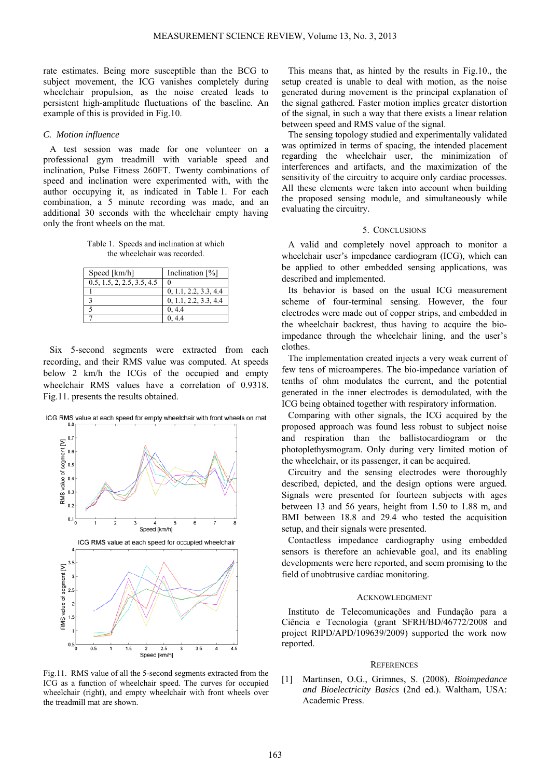rate estimates. Being more susceptible than the BCG to subject movement, the ICG vanishes completely during wheelchair propulsion, as the noise created leads to persistent high-amplitude fluctuations of the baseline. An example of this is provided in Fig.10.

## *C. Motion influence*

A test session was made for one volunteer on a professional gym treadmill with variable speed and inclination, Pulse Fitness 260FT. Twenty combinations of speed and inclination were experimented with, with the author occupying it, as indicated in Table 1. For each combination, a 5 minute recording was made, and an additional 30 seconds with the wheelchair empty having only the front wheels on the mat.

Table 1. Speeds and inclination at which the wheelchair was recorded.

| Speed [km/h]               | Inclination $[\%]$    |
|----------------------------|-----------------------|
| 0.5, 1.5, 2, 2.5, 3.5, 4.5 |                       |
|                            | 0, 1.1, 2.2, 3.3, 4.4 |
| 2                          | 0, 1.1, 2.2, 3.3, 4.4 |
|                            | 0, 4.4                |
|                            | 0.44                  |

Six 5-second segments were extracted from each recording, and their RMS value was computed. At speeds below 2 km/h the ICGs of the occupied and empty wheelchair RMS values have a correlation of 0.9318. Fig.11. presents the results obtained.



ICG RMS value at each speed for empty wheelchair with front wheels on mat

Fig.11. RMS value of all the 5-second segments extracted from the ICG as a function of wheelchair speed. The curves for occupied wheelchair (right), and empty wheelchair with front wheels over the treadmill mat are shown.

This means that, as hinted by the results in Fig.10., the setup created is unable to deal with motion, as the noise generated during movement is the principal explanation of the signal gathered. Faster motion implies greater distortion of the signal, in such a way that there exists a linear relation between speed and RMS value of the signal.

The sensing topology studied and experimentally validated was optimized in terms of spacing, the intended placement regarding the wheelchair user, the minimization of interferences and artifacts, and the maximization of the sensitivity of the circuitry to acquire only cardiac processes. All these elements were taken into account when building the proposed sensing module, and simultaneously while evaluating the circuitry.

## 5. CONCLUSIONS

A valid and completely novel approach to monitor a wheelchair user's impedance cardiogram (ICG), which can be applied to other embedded sensing applications, was described and implemented.

Its behavior is based on the usual ICG measurement scheme of four-terminal sensing. However, the four electrodes were made out of copper strips, and embedded in the wheelchair backrest, thus having to acquire the bioimpedance through the wheelchair lining, and the user's clothes.

The implementation created injects a very weak current of few tens of microamperes. The bio-impedance variation of tenths of ohm modulates the current, and the potential generated in the inner electrodes is demodulated, with the ICG being obtained together with respiratory information.

Comparing with other signals, the ICG acquired by the proposed approach was found less robust to subject noise and respiration than the ballistocardiogram or the photoplethysmogram. Only during very limited motion of the wheelchair, or its passenger, it can be acquired.

Circuitry and the sensing electrodes were thoroughly described, depicted, and the design options were argued. Signals were presented for fourteen subjects with ages between 13 and 56 years, height from 1.50 to 1.88 m, and BMI between 18.8 and 29.4 who tested the acquisition setup, and their signals were presented.

Contactless impedance cardiography using embedded sensors is therefore an achievable goal, and its enabling developments were here reported, and seem promising to the field of unobtrusive cardiac monitoring.

## ACKNOWLEDGMENT

Instituto de Telecomunicações and Fundação para a Ciência e Tecnologia (grant SFRH/BD/46772/2008 and project RIPD/APD/109639/2009) supported the work now reported.

#### **REFERENCES**

[1] Martinsen, O.G., Grimnes, S. (2008). *Bioimpedance and Bioelectricity Basics* (2nd ed.). Waltham, USA: Academic Press.